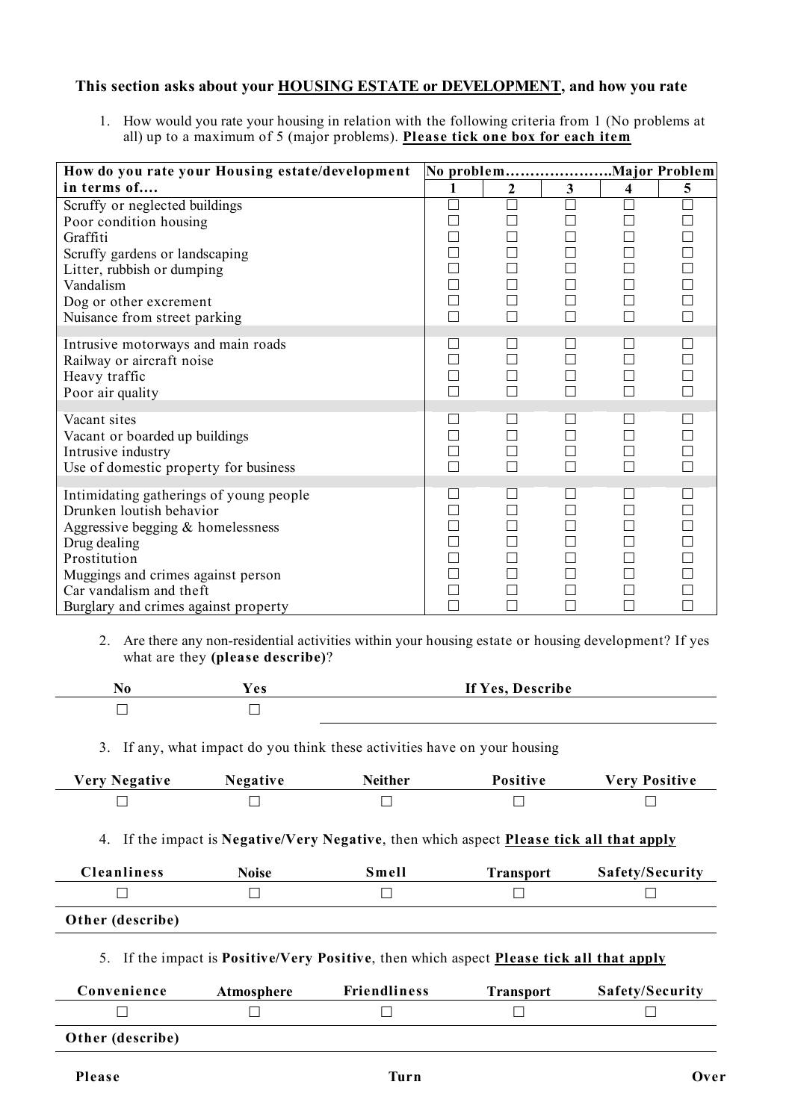## **This section asks about your HOUSING ESTATE or DEVELOPMENT, and how you rate**

1. How would you rate your housing in relation with the following criteria from 1 (No problems at all) up to a maximum of 5 (major problems). **Please tick one box for each item**

| How do you rate your Housing estate/development                                                                                                                                                                                                     |                                                                              |                                       |        |   |   |
|-----------------------------------------------------------------------------------------------------------------------------------------------------------------------------------------------------------------------------------------------------|------------------------------------------------------------------------------|---------------------------------------|--------|---|---|
| in terms of                                                                                                                                                                                                                                         |                                                                              | $\mathbf{2}$                          | 3      | 4 | 5 |
| Scruffy or neglected buildings<br>Poor condition housing<br>Graffiti<br>Scruffy gardens or landscaping                                                                                                                                              | $\Box$<br>$\Box$<br>$\Box$                                                   | П<br>П<br>П                           |        |   |   |
| Litter, rubbish or dumping<br>Vandalism<br>Dog or other excrement<br>Nuisance from street parking                                                                                                                                                   | $\Box$<br>$\Box$<br>$\Box$<br>$\Box$                                         | П<br>П<br>П                           |        |   |   |
| Intrusive motorways and main roads<br>Railway or aircraft noise<br>Heavy traffic<br>Poor air quality                                                                                                                                                | $\Box$<br>$\Box$<br>$\Box$<br>$\Box$                                         | П<br>П                                |        |   |   |
| Vacant sites<br>Vacant or boarded up buildings<br>Intrusive industry<br>Use of domestic property for business                                                                                                                                       | $\Box$<br>$\Box$<br>$\Box$<br>П                                              | n.<br>П<br>П<br>П                     |        |   |   |
| Intimidating gatherings of young people<br>Drunken loutish behavior<br>Aggressive begging $&$ homelessness<br>Drug dealing<br>Prostitution<br>Muggings and crimes against person<br>Car vandalism and theft<br>Burglary and crimes against property | $\Box$<br>$\Box$<br>$\Box$<br>$\Box$<br>$\Box$<br>$\Box$<br>$\Box$<br>$\Box$ | $\mathsf{L}$<br>П<br>П<br>П<br>П<br>П | $\Box$ |   |   |

2. Are there any non-residential activities within your housing estate or housing development? If yes what are they **(please describe)**?

| <b>BT</b> | $\mathbf{a}$ | If Y<br>0 A C<br>scribe<br>$\sim$ |
|-----------|--------------|-----------------------------------|
|           |              |                                   |

3. If any, what impact do you think these activities have on your housing

| <b>Very Negative</b>                                                                                    | <b>Negative</b> | <b>Neither</b>      | <b>Positive</b>  | <b>Very Positive</b> |  |  |  |  |
|---------------------------------------------------------------------------------------------------------|-----------------|---------------------|------------------|----------------------|--|--|--|--|
|                                                                                                         |                 |                     |                  |                      |  |  |  |  |
| If the impact is Negative/Very Negative, then which aspect Please tick all that apply<br>4.             |                 |                     |                  |                      |  |  |  |  |
| <b>Cleanliness</b>                                                                                      | <b>Noise</b>    | Smell               | <b>Transport</b> | Safety/Security      |  |  |  |  |
|                                                                                                         |                 |                     |                  |                      |  |  |  |  |
| Other (describe)                                                                                        |                 |                     |                  |                      |  |  |  |  |
| 5. If the impact is <b>Positive/Very Positive</b> , then which aspect <b>Please tick all that apply</b> |                 |                     |                  |                      |  |  |  |  |
| Convenience                                                                                             | Atmosphere      | <b>Friendliness</b> | <b>Transport</b> | Safety/Security      |  |  |  |  |
|                                                                                                         |                 |                     |                  |                      |  |  |  |  |
| Other (describe)                                                                                        |                 |                     |                  |                      |  |  |  |  |